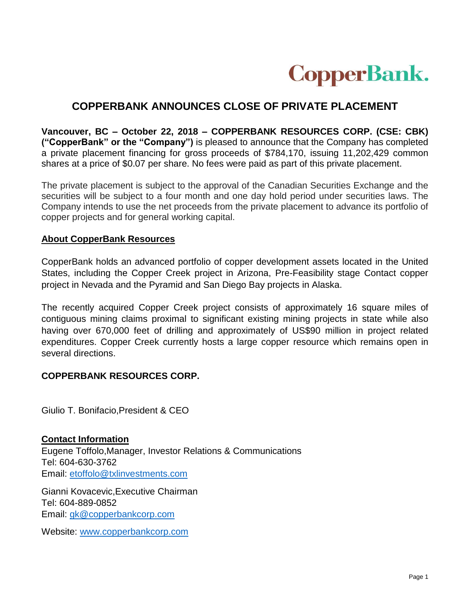

## **COPPERBANK ANNOUNCES CLOSE OF PRIVATE PLACEMENT**

**Vancouver, BC – October 22, 2018 – COPPERBANK RESOURCES CORP. (CSE: CBK) ("CopperBank" or the "Company")** is pleased to announce that the Company has completed a private placement financing for gross proceeds of \$784,170, issuing 11,202,429 common shares at a price of \$0.07 per share. No fees were paid as part of this private placement.

The private placement is subject to the approval of the Canadian Securities Exchange and the securities will be subject to a four month and one day hold period under securities laws. The Company intends to use the net proceeds from the private placement to advance its portfolio of copper projects and for general working capital.

## **About CopperBank Resources**

CopperBank holds an advanced portfolio of copper development assets located in the United States, including the Copper Creek project in Arizona, Pre-Feasibility stage Contact copper project in Nevada and the Pyramid and San Diego Bay projects in Alaska.

The recently acquired Copper Creek project consists of approximately 16 square miles of contiguous mining claims proximal to significant existing mining projects in state while also having over 670,000 feet of drilling and approximately of US\$90 million in project related expenditures. Copper Creek currently hosts a large copper resource which remains open in several directions.

## **COPPERBANK RESOURCES CORP.**

Giulio T. Bonifacio,President & CEO

**Contact Information** Eugene Toffolo,Manager, Investor Relations & Communications Tel: 604-630-3762 Email: [etoffolo@txlinvestments.com](mailto:etoffolo@txlinvestments.com)

Gianni Kovacevic,Executive Chairman Tel: 604-889-0852 Email: [gk@copperbankcorp.com](mailto:gk@copperbankcorp.com) 

Website: [www.copperbankcorp.com](http://www.copperbankcorp.com/)